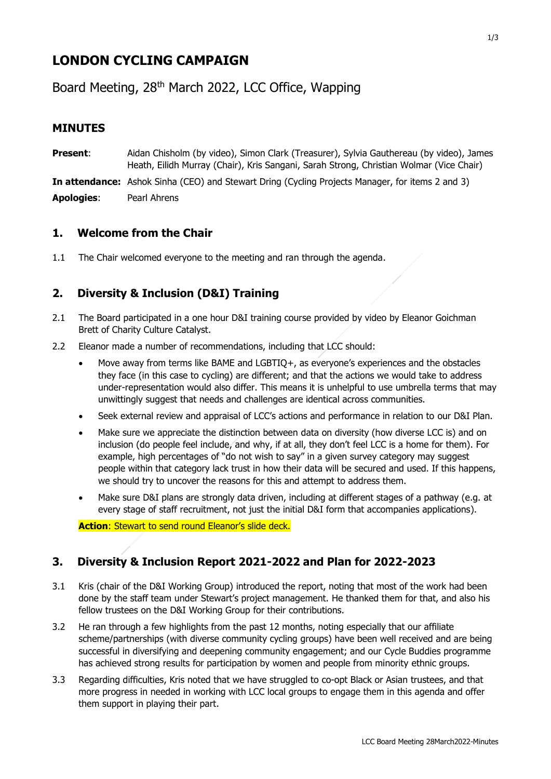# **LONDON CYCLING CAMPAIGN**

Board Meeting, 28<sup>th</sup> March 2022, LCC Office, Wapping

# **MINUTES**

**Present**: Aidan Chisholm (by video), Simon Clark (Treasurer), Sylvia Gauthereau (by video), James Heath, Eilidh Murray (Chair), Kris Sangani, Sarah Strong, Christian Wolmar (Vice Chair)

**In attendance:** Ashok Sinha (CEO) and Stewart Dring (Cycling Projects Manager, for items 2 and 3) **Apologies**: Pearl Ahrens

### **1. Welcome from the Chair**

1.1 The Chair welcomed everyone to the meeting and ran through the agenda.

# **2. Diversity & Inclusion (D&I) Training**

- 2.1 The Board participated in a one hour D&I training course provided by video by Eleanor Goichman Brett of Charity Culture Catalyst.
- 2.2 Eleanor made a number of recommendations, including that LCC should:
	- Move away from terms like BAME and LGBTIQ+, as everyone's experiences and the obstacles they face (in this case to cycling) are different; and that the actions we would take to address under-representation would also differ. This means it is unhelpful to use umbrella terms that may unwittingly suggest that needs and challenges are identical across communities.
	- Seek external review and appraisal of LCC's actions and performance in relation to our D&I Plan.
	- Make sure we appreciate the distinction between data on diversity (how diverse LCC is) and on inclusion (do people feel include, and why, if at all, they don't feel LCC is a home for them). For example, high percentages of "do not wish to say" in a given survey category may suggest people within that category lack trust in how their data will be secured and used. If this happens, we should try to uncover the reasons for this and attempt to address them.
	- Make sure D&I plans are strongly data driven, including at different stages of a pathway (e.g. at every stage of staff recruitment, not just the initial D&I form that accompanies applications).

**Action**: Stewart to send round Eleanor's slide deck.

# **3. Diversity & Inclusion Report 2021-2022 and Plan for 2022-2023**

- 3.1 Kris (chair of the D&I Working Group) introduced the report, noting that most of the work had been done by the staff team under Stewart's project management. He thanked them for that, and also his fellow trustees on the D&I Working Group for their contributions.
- 3.2 He ran through a few highlights from the past 12 months, noting especially that our affiliate scheme/partnerships (with diverse community cycling groups) have been well received and are being successful in diversifying and deepening community engagement; and our Cycle Buddies programme has achieved strong results for participation by women and people from minority ethnic groups.
- 3.3 Regarding difficulties, Kris noted that we have struggled to co-opt Black or Asian trustees, and that more progress in needed in working with LCC local groups to engage them in this agenda and offer them support in playing their part.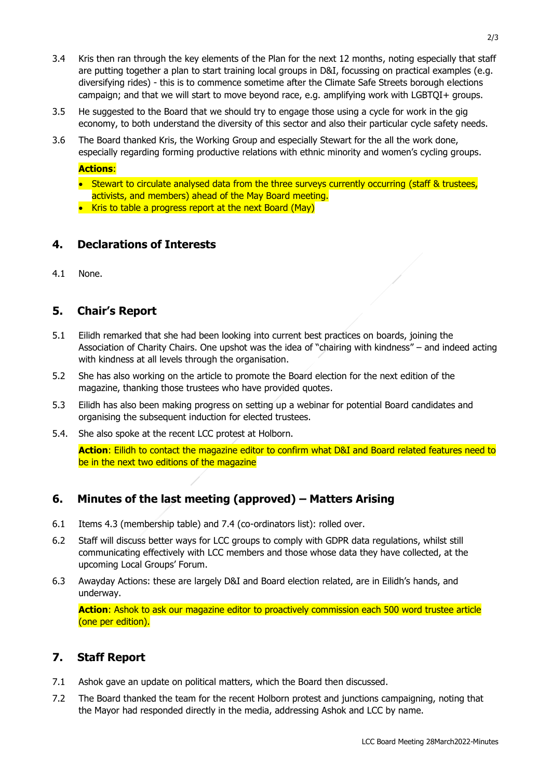- 3.4 Kris then ran through the key elements of the Plan for the next 12 months, noting especially that staff are putting together a plan to start training local groups in D&I, focussing on practical examples (e.g. diversifying rides) - this is to commence sometime after the Climate Safe Streets borough elections campaign; and that we will start to move beyond race, e.g. amplifying work with LGBTQI+ groups.
- 3.5 He suggested to the Board that we should try to engage those using a cycle for work in the gig economy, to both understand the diversity of this sector and also their particular cycle safety needs.
- 3.6 The Board thanked Kris, the Working Group and especially Stewart for the all the work done, especially regarding forming productive relations with ethnic minority and women's cycling groups.

#### **Actions**:

- Stewart to circulate analysed data from the three surveys currently occurring (staff & trustees, activists, and members) ahead of the May Board meeting.
- Kris to table a progress report at the next Board (May)

### **4. Declarations of Interests**

4.1 None.

### **5. Chair's Report**

- 5.1 Eilidh remarked that she had been looking into current best practices on boards, joining the Association of Charity Chairs. One upshot was the idea of "chairing with kindness" – and indeed acting with kindness at all levels through the organisation.
- 5.2 She has also working on the article to promote the Board election for the next edition of the magazine, thanking those trustees who have provided quotes.
- 5.3 Eilidh has also been making progress on setting up a webinar for potential Board candidates and organising the subsequent induction for elected trustees.
- 5.4. She also spoke at the recent LCC protest at Holborn.

**Action**: Eilidh to contact the magazine editor to confirm what D&I and Board related features need to be in the next two editions of the magazine

# **6. Minutes of the last meeting (approved) – Matters Arising**

- 6.1 Items 4.3 (membership table) and 7.4 (co-ordinators list): rolled over.
- 6.2 Staff will discuss better ways for LCC groups to comply with GDPR data regulations, whilst still communicating effectively with LCC members and those whose data they have collected, at the upcoming Local Groups' Forum.
- 6.3 Awayday Actions: these are largely D&I and Board election related, are in Eilidh's hands, and underway.

**Action**: Ashok to ask our magazine editor to proactively commission each 500 word trustee article (one per edition).

#### **7. Staff Report**

- 7.1 Ashok gave an update on political matters, which the Board then discussed.
- 7.2 The Board thanked the team for the recent Holborn protest and junctions campaigning, noting that the Mayor had responded directly in the media, addressing Ashok and LCC by name.